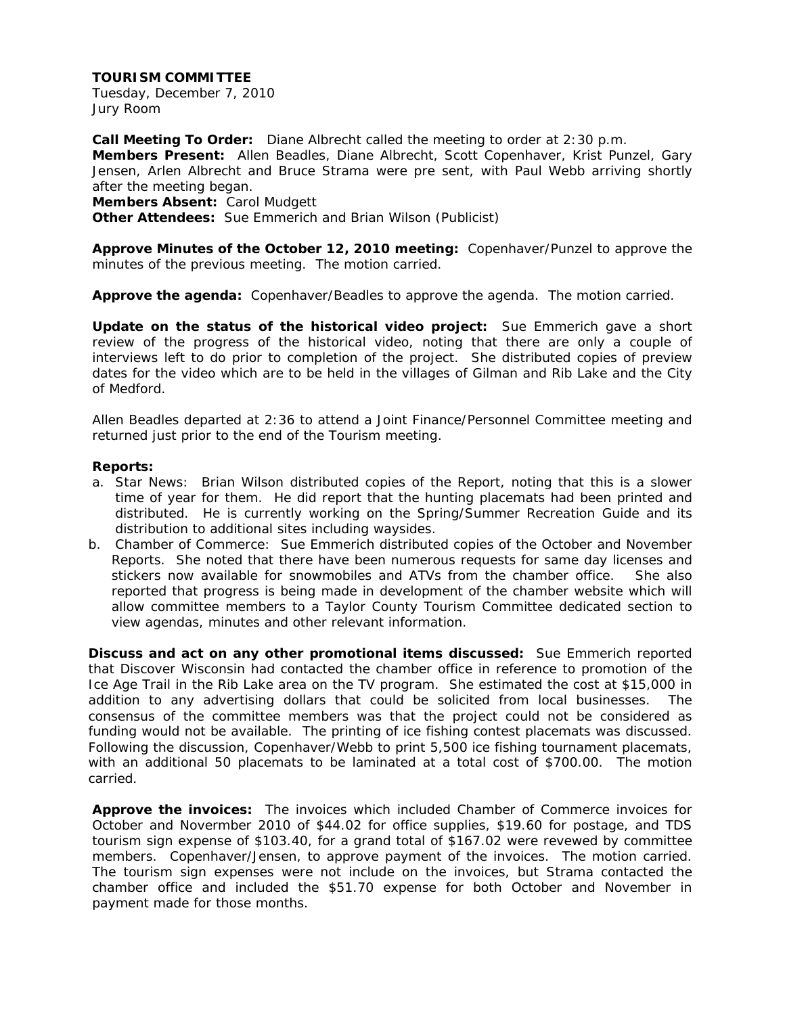Tuesday, December 7, 2010 Jury Room

**Call Meeting To Order:** Diane Albrecht called the meeting to order at 2:30 p.m. **Members Present:** Allen Beadles, Diane Albrecht, Scott Copenhaver, Krist Punzel, Gary Jensen, Arlen Albrecht and Bruce Strama were pre sent, with Paul Webb arriving shortly after the meeting began.

**Members Absent:** Carol Mudgett

**Other Attendees:** Sue Emmerich and Brian Wilson (Publicist)

**Approve Minutes of the October 12, 2010 meeting:** Copenhaver/Punzel to approve the minutes of the previous meeting. The motion carried.

**Approve the agenda:** Copenhaver/Beadles to approve the agenda. The motion carried.

**Update on the status of the historical video project:** Sue Emmerich gave a short review of the progress of the historical video, noting that there are only a couple of interviews left to do prior to completion of the project. She distributed copies of preview dates for the video which are to be held in the villages of Gilman and Rib Lake and the City of Medford.

Allen Beadles departed at 2:36 to attend a Joint Finance/Personnel Committee meeting and returned just prior to the end of the Tourism meeting.

#### **Reports:**

- a. Star News: Brian Wilson distributed copies of the Report, noting that this is a slower time of year for them. He did report that the hunting placemats had been printed and distributed. He is currently working on the Spring/Summer Recreation Guide and its distribution to additional sites including waysides.
- b. Chamber of Commerce: Sue Emmerich distributed copies of the October and November Reports. She noted that there have been numerous requests for same day licenses and stickers now available for snowmobiles and ATVs from the chamber office. She also reported that progress is being made in development of the chamber website which will allow committee members to a Taylor County Tourism Committee dedicated section to view agendas, minutes and other relevant information.

**Discuss and act on any other promotional items discussed:** Sue Emmerich reported that Discover Wisconsin had contacted the chamber office in reference to promotion of the Ice Age Trail in the Rib Lake area on the TV program. She estimated the cost at \$15,000 in addition to any advertising dollars that could be solicited from local businesses. The consensus of the committee members was that the project could not be considered as funding would not be available. The printing of ice fishing contest placemats was discussed. Following the discussion, Copenhaver/Webb to print 5,500 ice fishing tournament placemats, with an additional 50 placemats to be laminated at a total cost of \$700.00. The motion carried.

**Approve the invoices:** The invoices which included Chamber of Commerce invoices for October and Novermber 2010 of \$44.02 for office supplies, \$19.60 for postage, and TDS tourism sign expense of \$103.40, for a grand total of \$167.02 were revewed by committee members. Copenhaver/Jensen, to approve payment of the invoices. The motion carried. The tourism sign expenses were not include on the invoices, but Strama contacted the chamber office and included the \$51.70 expense for both October and November in payment made for those months.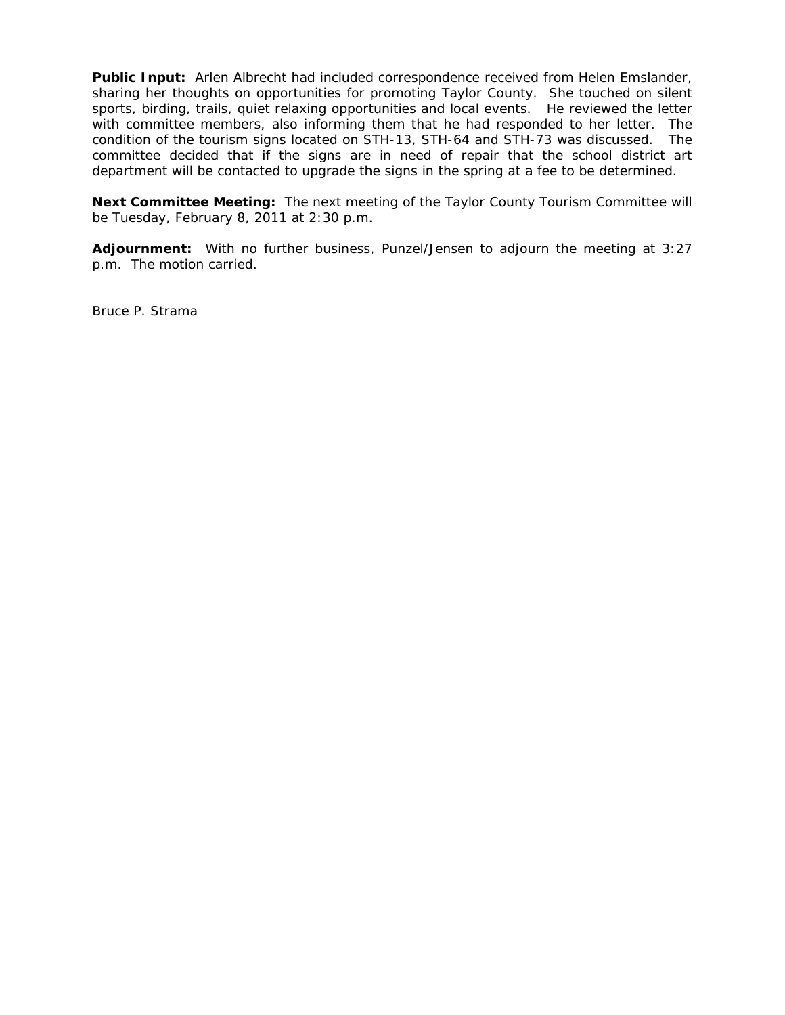**Public Input:** Arlen Albrecht had included correspondence received from Helen Emslander, sharing her thoughts on opportunities for promoting Taylor County. She touched on silent sports, birding, trails, quiet relaxing opportunities and local events. He reviewed the letter with committee members, also informing them that he had responded to her letter. The condition of the tourism signs located on STH-13, STH-64 and STH-73 was discussed. The committee decided that if the signs are in need of repair that the school district art department will be contacted to upgrade the signs in the spring at a fee to be determined.

**Next Committee Meeting:** The next meeting of the Taylor County Tourism Committee will be Tuesday, February 8, 2011 at 2:30 p.m.

**Adjournment:** With no further business, Punzel/Jensen to adjourn the meeting at 3:27 p.m. The motion carried.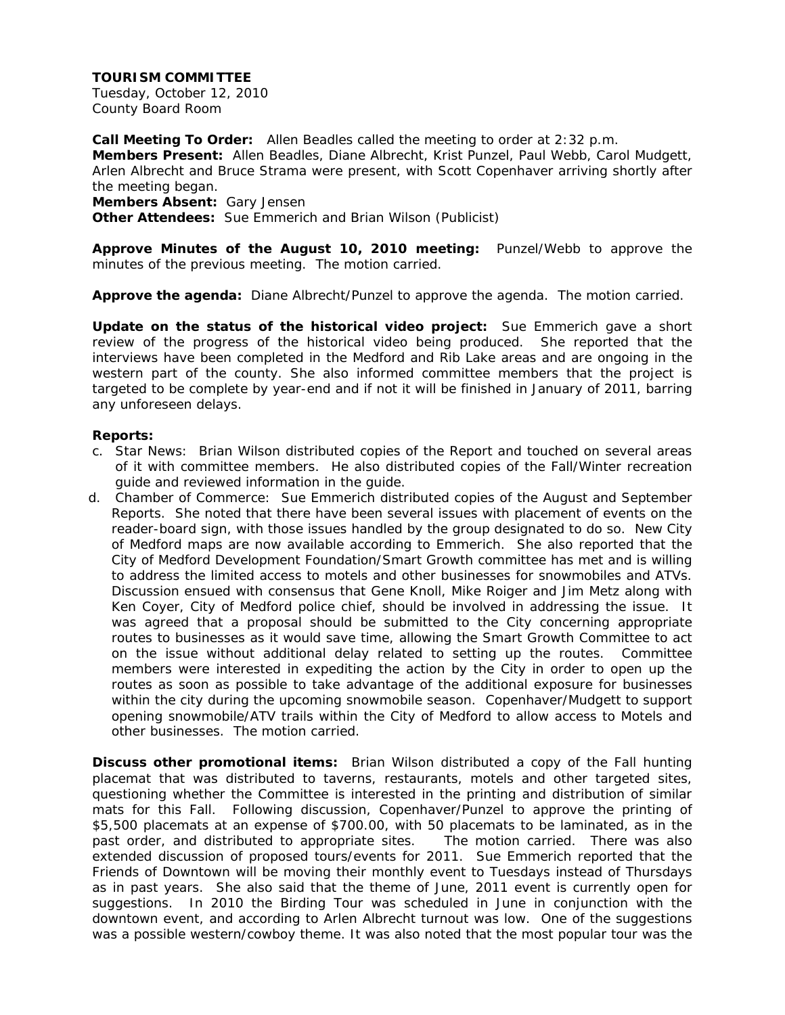Tuesday, October 12, 2010 County Board Room

**Call Meeting To Order:** Allen Beadles called the meeting to order at 2:32 p.m. **Members Present:** Allen Beadles, Diane Albrecht, Krist Punzel, Paul Webb, Carol Mudgett, Arlen Albrecht and Bruce Strama were present, with Scott Copenhaver arriving shortly after the meeting began.

**Members Absent:** Gary Jensen

**Other Attendees:** Sue Emmerich and Brian Wilson (Publicist)

**Approve Minutes of the August 10, 2010 meeting:** Punzel/Webb to approve the minutes of the previous meeting. The motion carried.

**Approve the agenda:** Diane Albrecht/Punzel to approve the agenda. The motion carried.

**Update on the status of the historical video project:** Sue Emmerich gave a short review of the progress of the historical video being produced. She reported that the interviews have been completed in the Medford and Rib Lake areas and are ongoing in the western part of the county. She also informed committee members that the project is targeted to be complete by year-end and if not it will be finished in January of 2011, barring any unforeseen delays.

#### **Reports:**

- c. Star News: Brian Wilson distributed copies of the Report and touched on several areas of it with committee members. He also distributed copies of the Fall/Winter recreation guide and reviewed information in the guide.
- d. Chamber of Commerce: Sue Emmerich distributed copies of the August and September Reports. She noted that there have been several issues with placement of events on the reader-board sign, with those issues handled by the group designated to do so. New City of Medford maps are now available according to Emmerich. She also reported that the City of Medford Development Foundation/Smart Growth committee has met and is willing to address the limited access to motels and other businesses for snowmobiles and ATVs. Discussion ensued with consensus that Gene Knoll, Mike Roiger and Jim Metz along with Ken Coyer, City of Medford police chief, should be involved in addressing the issue. It was agreed that a proposal should be submitted to the City concerning appropriate routes to businesses as it would save time, allowing the Smart Growth Committee to act on the issue without additional delay related to setting up the routes. Committee members were interested in expediting the action by the City in order to open up the routes as soon as possible to take advantage of the additional exposure for businesses within the city during the upcoming snowmobile season. Copenhaver/Mudgett to support opening snowmobile/ATV trails within the City of Medford to allow access to Motels and other businesses. The motion carried.

**Discuss other promotional items:** Brian Wilson distributed a copy of the Fall hunting placemat that was distributed to taverns, restaurants, motels and other targeted sites, questioning whether the Committee is interested in the printing and distribution of similar mats for this Fall. Following discussion, Copenhaver/Punzel to approve the printing of \$5,500 placemats at an expense of \$700.00, with 50 placemats to be laminated, as in the past order, and distributed to appropriate sites. The motion carried. There was also extended discussion of proposed tours/events for 2011. Sue Emmerich reported that the Friends of Downtown will be moving their monthly event to Tuesdays instead of Thursdays as in past years. She also said that the theme of June, 2011 event is currently open for suggestions. In 2010 the Birding Tour was scheduled in June in conjunction with the downtown event, and according to Arlen Albrecht turnout was low. One of the suggestions was a possible western/cowboy theme. It was also noted that the most popular tour was the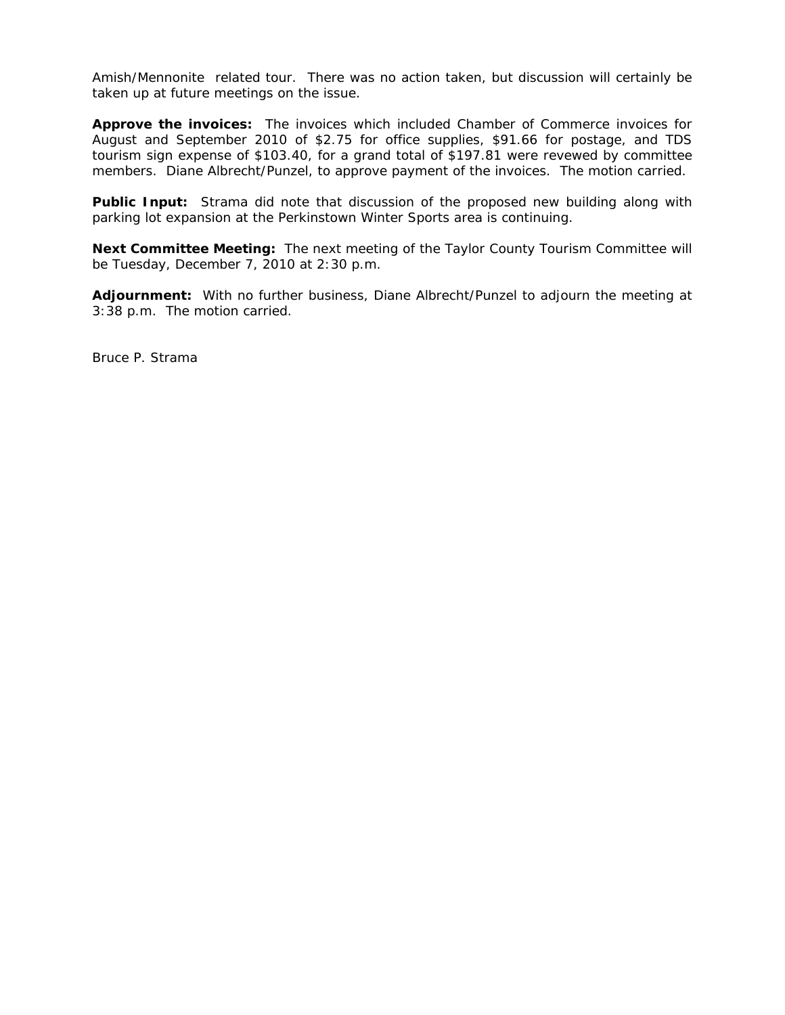Amish/Mennonite related tour. There was no action taken, but discussion will certainly be taken up at future meetings on the issue.

**Approve the invoices:** The invoices which included Chamber of Commerce invoices for August and September 2010 of \$2.75 for office supplies, \$91.66 for postage, and TDS tourism sign expense of \$103.40, for a grand total of \$197.81 were revewed by committee members. Diane Albrecht/Punzel, to approve payment of the invoices. The motion carried.

**Public Input:** Strama did note that discussion of the proposed new building along with parking lot expansion at the Perkinstown Winter Sports area is continuing.

**Next Committee Meeting:** The next meeting of the Taylor County Tourism Committee will be Tuesday, December 7, 2010 at 2:30 p.m.

**Adjournment:** With no further business, Diane Albrecht/Punzel to adjourn the meeting at 3:38 p.m. The motion carried.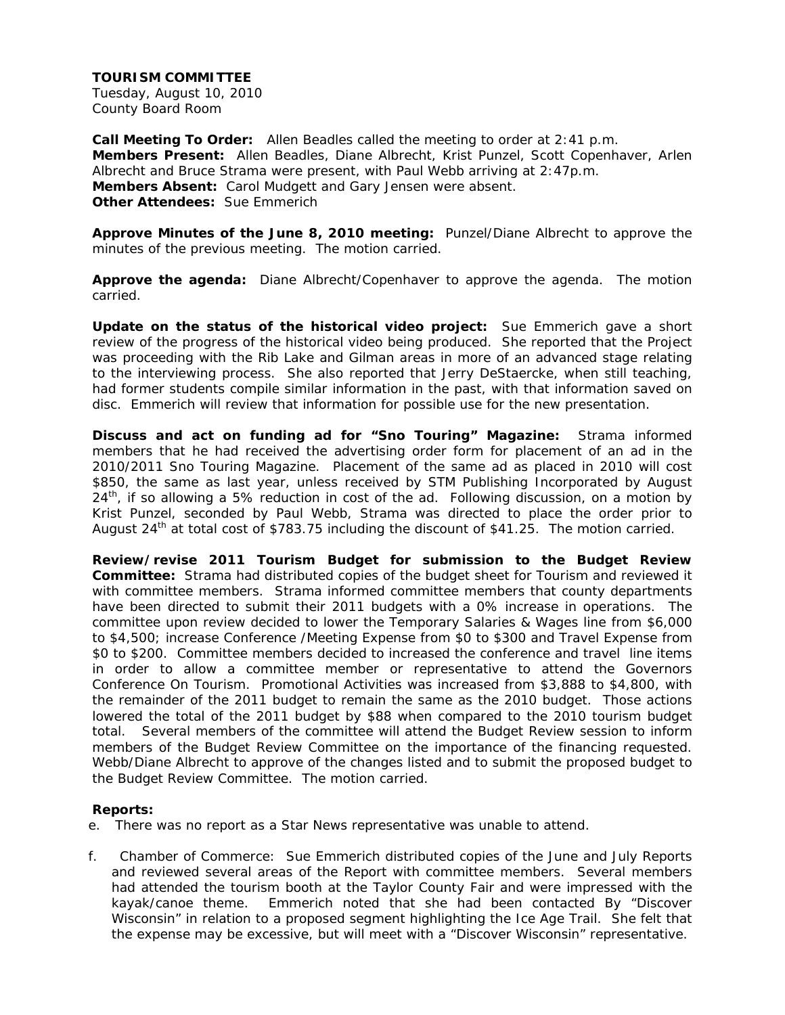Tuesday, August 10, 2010 County Board Room

**Call Meeting To Order:** Allen Beadles called the meeting to order at 2:41 p.m. **Members Present:** Allen Beadles, Diane Albrecht, Krist Punzel, Scott Copenhaver, Arlen Albrecht and Bruce Strama were present, with Paul Webb arriving at 2:47p.m. **Members Absent:** Carol Mudgett and Gary Jensen were absent. **Other Attendees:** Sue Emmerich

**Approve Minutes of the June 8, 2010 meeting:** Punzel/Diane Albrecht to approve the minutes of the previous meeting. The motion carried.

**Approve the agenda:** Diane Albrecht/Copenhaver to approve the agenda. The motion carried.

**Update on the status of the historical video project:** Sue Emmerich gave a short review of the progress of the historical video being produced. She reported that the Project was proceeding with the Rib Lake and Gilman areas in more of an advanced stage relating to the interviewing process. She also reported that Jerry DeStaercke, when still teaching, had former students compile similar information in the past, with that information saved on disc. Emmerich will review that information for possible use for the new presentation.

**Discuss and act on funding ad for "Sno Touring" Magazine:** Strama informed members that he had received the advertising order form for placement of an ad in the 2010/2011 Sno Touring Magazine. Placement of the same ad as placed in 2010 will cost \$850, the same as last year, unless received by STM Publishing Incorporated by August  $24<sup>th</sup>$ , if so allowing a 5% reduction in cost of the ad. Following discussion, on a motion by Krist Punzel, seconded by Paul Webb, Strama was directed to place the order prior to August 24<sup>th</sup> at total cost of \$783.75 including the discount of \$41.25. The motion carried.

**Review/revise 2011 Tourism Budget for submission to the Budget Review Committee:** Strama had distributed copies of the budget sheet for Tourism and reviewed it with committee members. Strama informed committee members that county departments have been directed to submit their 2011 budgets with a 0% increase in operations. The committee upon review decided to lower the Temporary Salaries & Wages line from \$6,000 to \$4,500; increase Conference /Meeting Expense from \$0 to \$300 and Travel Expense from \$0 to \$200. Committee members decided to increased the conference and travel line items in order to allow a committee member or representative to attend the Governors Conference On Tourism. Promotional Activities was increased from \$3,888 to \$4,800, with the remainder of the 2011 budget to remain the same as the 2010 budget. Those actions lowered the total of the 2011 budget by \$88 when compared to the 2010 tourism budget total. Several members of the committee will attend the Budget Review session to inform members of the Budget Review Committee on the importance of the financing requested. Webb/Diane Albrecht to approve of the changes listed and to submit the proposed budget to the Budget Review Committee. The motion carried.

#### **Reports:**

- e. There was no report as a Star News representative was unable to attend.
- f. Chamber of Commerce: Sue Emmerich distributed copies of the June and July Reports and reviewed several areas of the Report with committee members. Several members had attended the tourism booth at the Taylor County Fair and were impressed with the kayak/canoe theme. Emmerich noted that she had been contacted By "Discover Wisconsin" in relation to a proposed segment highlighting the Ice Age Trail. She felt that the expense may be excessive, but will meet with a "Discover Wisconsin" representative.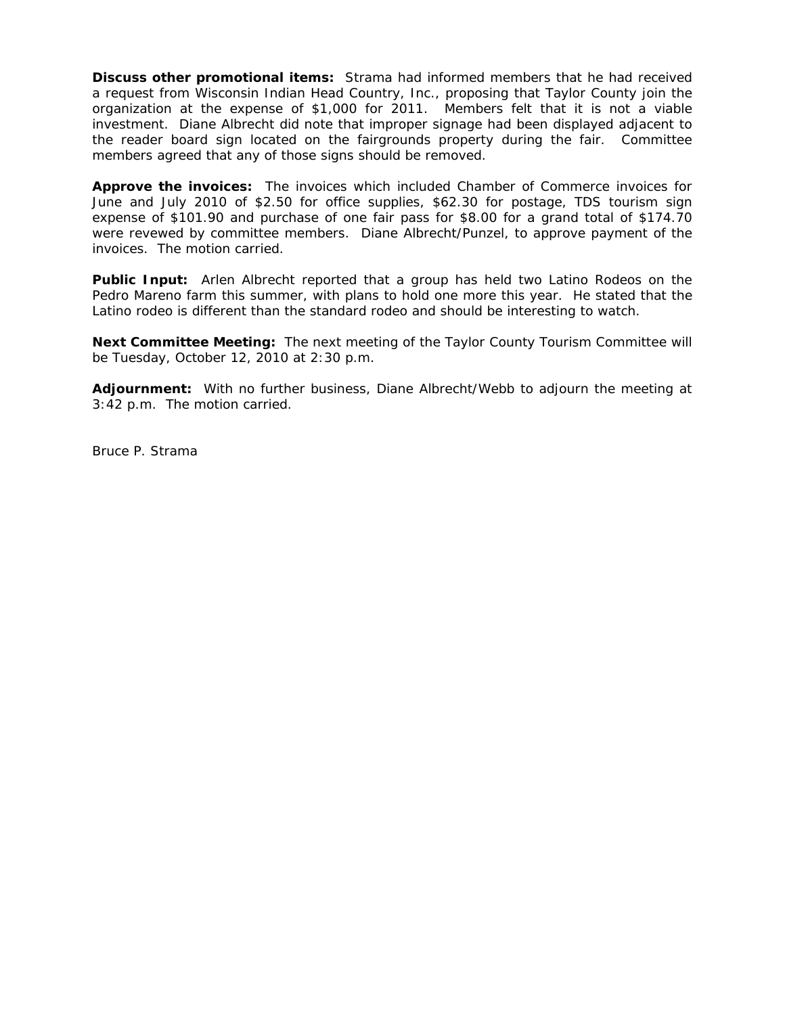**Discuss other promotional items:** Strama had informed members that he had received a request from Wisconsin Indian Head Country, Inc., proposing that Taylor County join the organization at the expense of \$1,000 for 2011. Members felt that it is not a viable investment. Diane Albrecht did note that improper signage had been displayed adjacent to the reader board sign located on the fairgrounds property during the fair. Committee members agreed that any of those signs should be removed.

**Approve the invoices:** The invoices which included Chamber of Commerce invoices for June and July 2010 of \$2.50 for office supplies, \$62.30 for postage, TDS tourism sign expense of \$101.90 and purchase of one fair pass for \$8.00 for a grand total of \$174.70 were revewed by committee members. Diane Albrecht/Punzel, to approve payment of the invoices. The motion carried.

**Public Input:** Arlen Albrecht reported that a group has held two Latino Rodeos on the Pedro Mareno farm this summer, with plans to hold one more this year. He stated that the Latino rodeo is different than the standard rodeo and should be interesting to watch.

**Next Committee Meeting:** The next meeting of the Taylor County Tourism Committee will be Tuesday, October 12, 2010 at 2:30 p.m.

**Adjournment:** With no further business, Diane Albrecht/Webb to adjourn the meeting at 3:42 p.m. The motion carried.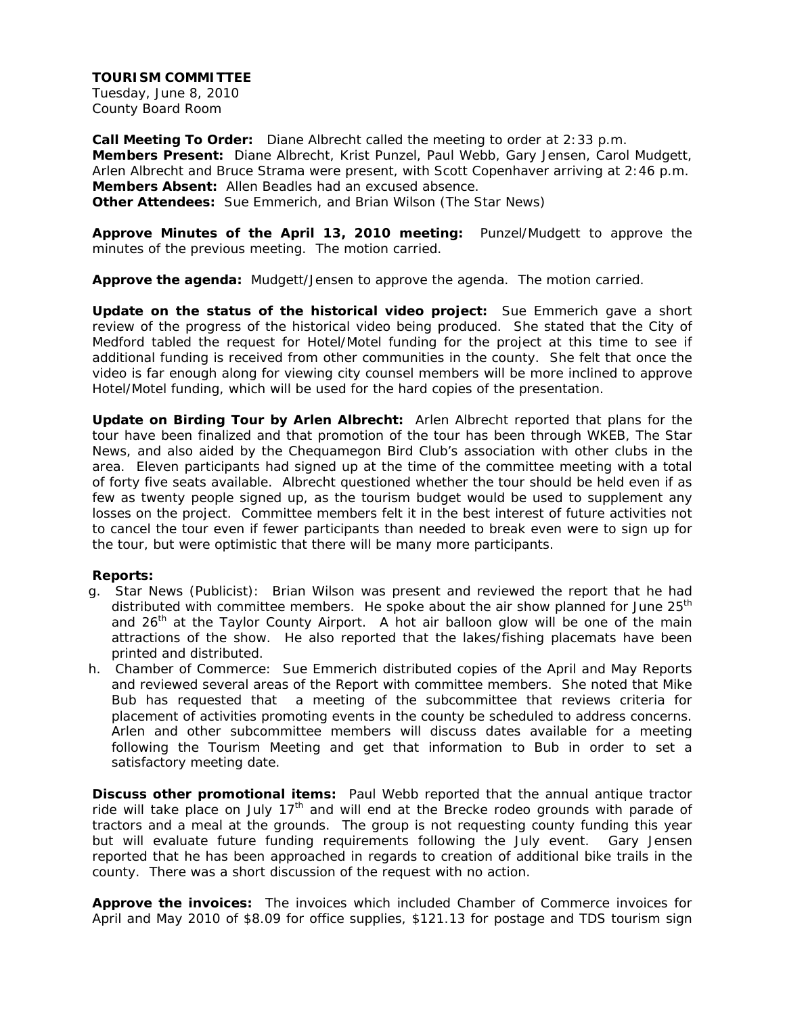Tuesday, June 8, 2010 County Board Room

**Call Meeting To Order:** Diane Albrecht called the meeting to order at 2:33 p.m. **Members Present:** Diane Albrecht, Krist Punzel, Paul Webb, Gary Jensen, Carol Mudgett, Arlen Albrecht and Bruce Strama were present, with Scott Copenhaver arriving at 2:46 p.m. **Members Absent:** Allen Beadles had an excused absence. **Other Attendees:** Sue Emmerich, and Brian Wilson (The Star News)

**Approve Minutes of the April 13, 2010 meeting:** Punzel/Mudgett to approve the minutes of the previous meeting. The motion carried.

**Approve the agenda:** Mudgett/Jensen to approve the agenda. The motion carried.

**Update on the status of the historical video project:** Sue Emmerich gave a short review of the progress of the historical video being produced. She stated that the City of Medford tabled the request for Hotel/Motel funding for the project at this time to see if additional funding is received from other communities in the county. She felt that once the video is far enough along for viewing city counsel members will be more inclined to approve Hotel/Motel funding, which will be used for the hard copies of the presentation.

**Update on Birding Tour by Arlen Albrecht:** Arlen Albrecht reported that plans for the tour have been finalized and that promotion of the tour has been through WKEB, The Star News, and also aided by the Chequamegon Bird Club's association with other clubs in the area. Eleven participants had signed up at the time of the committee meeting with a total of forty five seats available. Albrecht questioned whether the tour should be held even if as few as twenty people signed up, as the tourism budget would be used to supplement any losses on the project. Committee members felt it in the best interest of future activities not to cancel the tour even if fewer participants than needed to break even were to sign up for the tour, but were optimistic that there will be many more participants.

#### **Reports:**

- g. Star News (Publicist): Brian Wilson was present and reviewed the report that he had distributed with committee members. He spoke about the air show planned for June  $25<sup>th</sup>$ and  $26<sup>th</sup>$  at the Taylor County Airport. A hot air balloon glow will be one of the main attractions of the show. He also reported that the lakes/fishing placemats have been printed and distributed.
- h. Chamber of Commerce: Sue Emmerich distributed copies of the April and May Reports and reviewed several areas of the Report with committee members. She noted that Mike Bub has requested that a meeting of the subcommittee that reviews criteria for placement of activities promoting events in the county be scheduled to address concerns. Arlen and other subcommittee members will discuss dates available for a meeting following the Tourism Meeting and get that information to Bub in order to set a satisfactory meeting date.

**Discuss other promotional items:** Paul Webb reported that the annual antique tractor ride will take place on July  $17<sup>th</sup>$  and will end at the Brecke rodeo grounds with parade of tractors and a meal at the grounds. The group is not requesting county funding this year but will evaluate future funding requirements following the July event. Gary Jensen reported that he has been approached in regards to creation of additional bike trails in the county. There was a short discussion of the request with no action.

**Approve the invoices:** The invoices which included Chamber of Commerce invoices for April and May 2010 of \$8.09 for office supplies, \$121.13 for postage and TDS tourism sign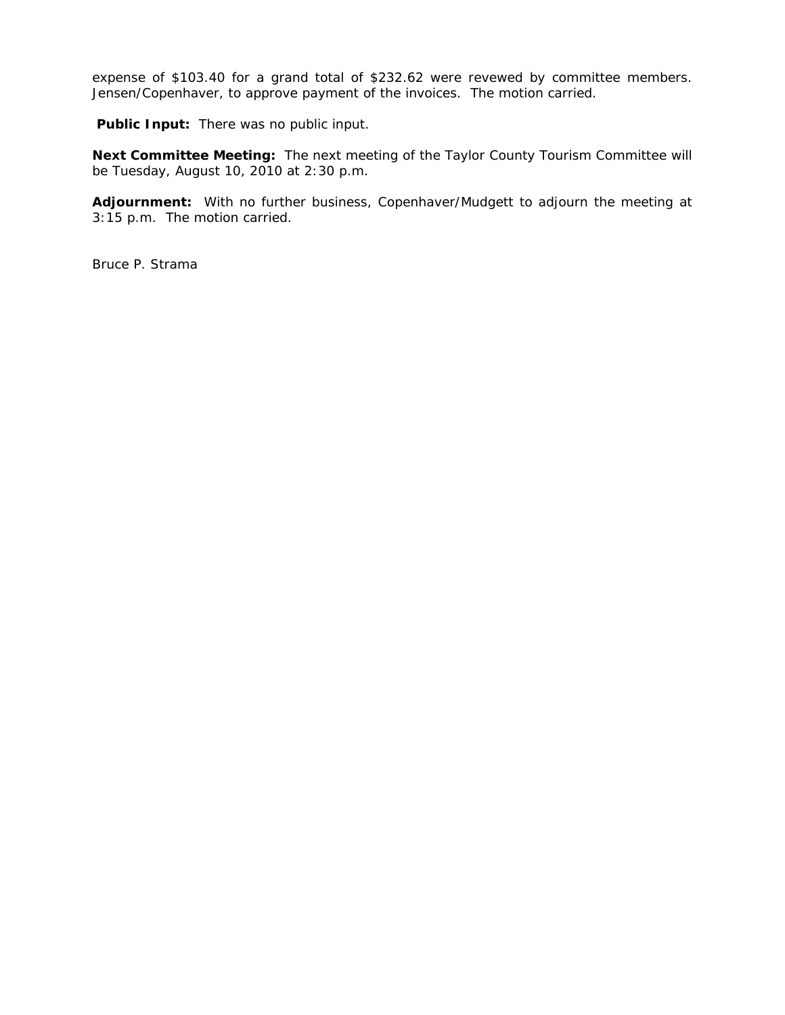expense of \$103.40 for a grand total of \$232.62 were revewed by committee members. Jensen/Copenhaver, to approve payment of the invoices. The motion carried.

 **Public Input:** There was no public input.

**Next Committee Meeting:** The next meeting of the Taylor County Tourism Committee will be Tuesday, August 10, 2010 at 2:30 p.m.

**Adjournment:** With no further business, Copenhaver/Mudgett to adjourn the meeting at 3:15 p.m. The motion carried.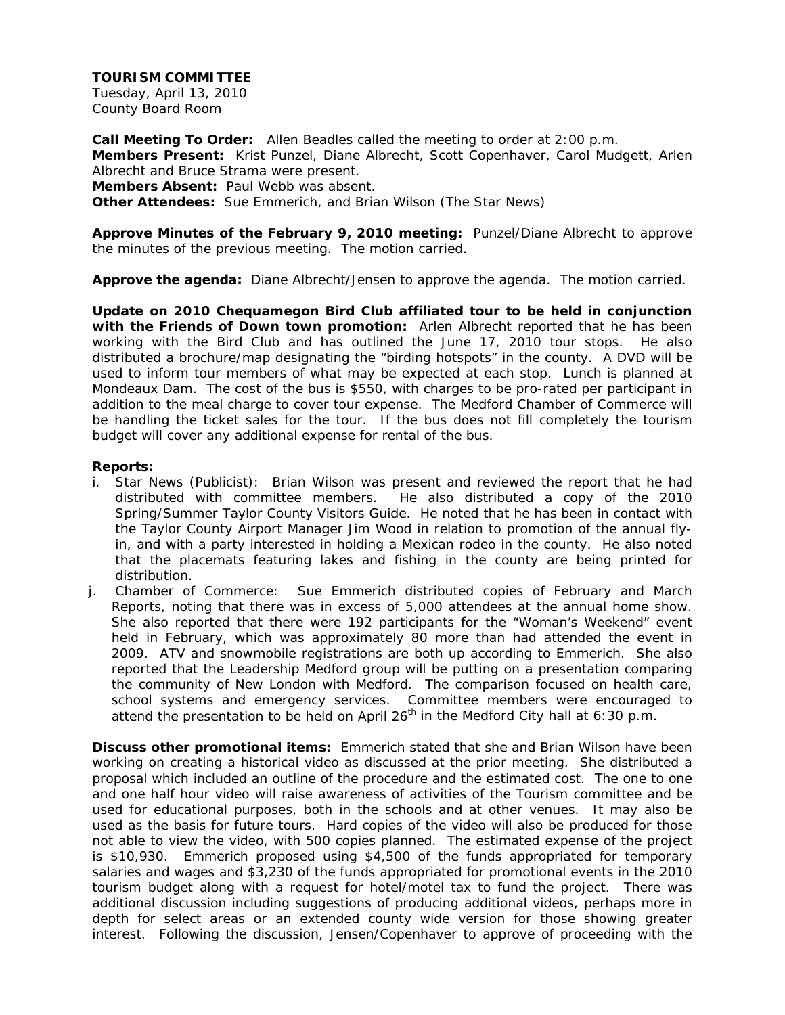Tuesday, April 13, 2010 County Board Room

**Call Meeting To Order:** Allen Beadles called the meeting to order at 2:00 p.m. **Members Present:** Krist Punzel, Diane Albrecht, Scott Copenhaver, Carol Mudgett, Arlen Albrecht and Bruce Strama were present. **Members Absent:** Paul Webb was absent. **Other Attendees:** Sue Emmerich, and Brian Wilson (The Star News)

**Approve Minutes of the February 9, 2010 meeting:** Punzel/Diane Albrecht to approve the minutes of the previous meeting. The motion carried.

**Approve the agenda:** Diane Albrecht/Jensen to approve the agenda. The motion carried.

**Update on 2010 Chequamegon Bird Club affiliated tour to be held in conjunction with the Friends of Down town promotion:** Arlen Albrecht reported that he has been working with the Bird Club and has outlined the June 17, 2010 tour stops. He also distributed a brochure/map designating the "birding hotspots" in the county. A DVD will be used to inform tour members of what may be expected at each stop. Lunch is planned at Mondeaux Dam. The cost of the bus is \$550, with charges to be pro-rated per participant in addition to the meal charge to cover tour expense. The Medford Chamber of Commerce will be handling the ticket sales for the tour. If the bus does not fill completely the tourism budget will cover any additional expense for rental of the bus.

#### **Reports:**

- i. Star News (Publicist): Brian Wilson was present and reviewed the report that he had distributed with committee members. He also distributed a copy of the 2010 Spring/Summer Taylor County Visitors Guide. He noted that he has been in contact with the Taylor County Airport Manager Jim Wood in relation to promotion of the annual flyin, and with a party interested in holding a Mexican rodeo in the county. He also noted that the placemats featuring lakes and fishing in the county are being printed for distribution.
- j. Chamber of Commerce: Sue Emmerich distributed copies of February and March Reports, noting that there was in excess of 5,000 attendees at the annual home show. She also reported that there were 192 participants for the "Woman's Weekend" event held in February, which was approximately 80 more than had attended the event in 2009. ATV and snowmobile registrations are both up according to Emmerich. She also reported that the Leadership Medford group will be putting on a presentation comparing the community of New London with Medford. The comparison focused on health care, school systems and emergency services. Committee members were encouraged to attend the presentation to be held on April 26<sup>th</sup> in the Medford City hall at 6:30 p.m.

**Discuss other promotional items:** Emmerich stated that she and Brian Wilson have been working on creating a historical video as discussed at the prior meeting. She distributed a proposal which included an outline of the procedure and the estimated cost. The one to one and one half hour video will raise awareness of activities of the Tourism committee and be used for educational purposes, both in the schools and at other venues. It may also be used as the basis for future tours. Hard copies of the video will also be produced for those not able to view the video, with 500 copies planned. The estimated expense of the project is \$10,930. Emmerich proposed using \$4,500 of the funds appropriated for temporary salaries and wages and \$3,230 of the funds appropriated for promotional events in the 2010 tourism budget along with a request for hotel/motel tax to fund the project. There was additional discussion including suggestions of producing additional videos, perhaps more in depth for select areas or an extended county wide version for those showing greater interest. Following the discussion, Jensen/Copenhaver to approve of proceeding with the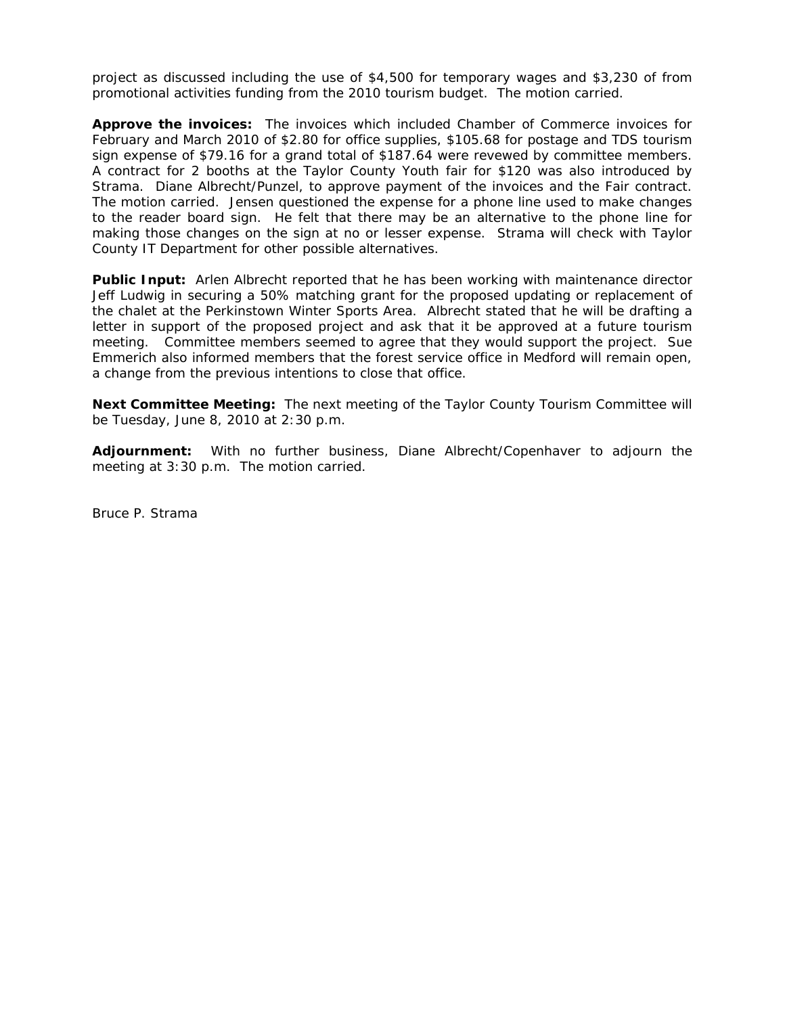project as discussed including the use of \$4,500 for temporary wages and \$3,230 of from promotional activities funding from the 2010 tourism budget. The motion carried.

**Approve the invoices:** The invoices which included Chamber of Commerce invoices for February and March 2010 of \$2.80 for office supplies, \$105.68 for postage and TDS tourism sign expense of \$79.16 for a grand total of \$187.64 were revewed by committee members. A contract for 2 booths at the Taylor County Youth fair for \$120 was also introduced by Strama. Diane Albrecht/Punzel, to approve payment of the invoices and the Fair contract. The motion carried. Jensen questioned the expense for a phone line used to make changes to the reader board sign. He felt that there may be an alternative to the phone line for making those changes on the sign at no or lesser expense. Strama will check with Taylor County IT Department for other possible alternatives.

**Public Input:** Arlen Albrecht reported that he has been working with maintenance director Jeff Ludwig in securing a 50% matching grant for the proposed updating or replacement of the chalet at the Perkinstown Winter Sports Area. Albrecht stated that he will be drafting a letter in support of the proposed project and ask that it be approved at a future tourism meeting. Committee members seemed to agree that they would support the project. Sue Emmerich also informed members that the forest service office in Medford will remain open, a change from the previous intentions to close that office.

**Next Committee Meeting:** The next meeting of the Taylor County Tourism Committee will be Tuesday, June 8, 2010 at 2:30 p.m.

**Adjournment:** With no further business, Diane Albrecht/Copenhaver to adjourn the meeting at 3:30 p.m. The motion carried.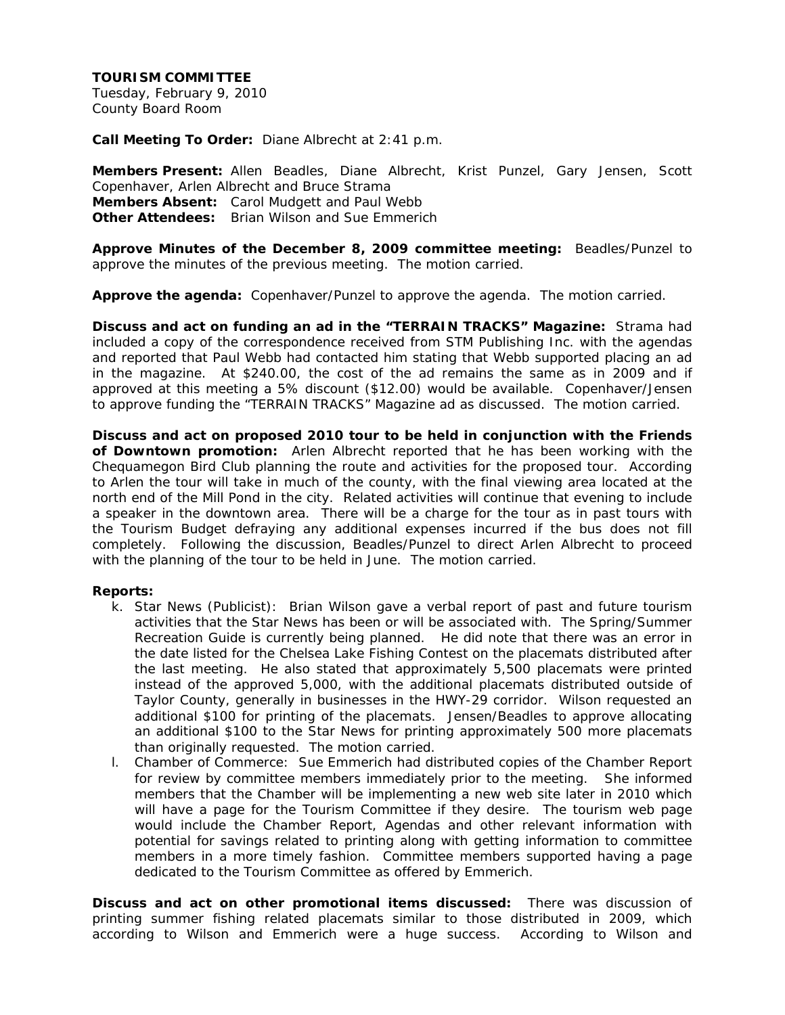Tuesday, February 9, 2010 County Board Room

**Call Meeting To Order:** Diane Albrecht at 2:41 p.m.

**Members Present:** Allen Beadles, Diane Albrecht, Krist Punzel, Gary Jensen, Scott Copenhaver, Arlen Albrecht and Bruce Strama **Members Absent:** Carol Mudgett and Paul Webb **Other Attendees:** Brian Wilson and Sue Emmerich

**Approve Minutes of the December 8, 2009 committee meeting:** Beadles/Punzel to approve the minutes of the previous meeting. The motion carried.

**Approve the agenda:** Copenhaver/Punzel to approve the agenda. The motion carried.

**Discuss and act on funding an ad in the "TERRAIN TRACKS" Magazine:** Strama had included a copy of the correspondence received from STM Publishing Inc. with the agendas and reported that Paul Webb had contacted him stating that Webb supported placing an ad in the magazine. At \$240.00, the cost of the ad remains the same as in 2009 and if approved at this meeting a 5% discount (\$12.00) would be available. Copenhaver/Jensen to approve funding the "TERRAIN TRACKS" Magazine ad as discussed. The motion carried.

**Discuss and act on proposed 2010 tour to be held in conjunction with the Friends of Downtown promotion:** Arlen Albrecht reported that he has been working with the Chequamegon Bird Club planning the route and activities for the proposed tour. According to Arlen the tour will take in much of the county, with the final viewing area located at the north end of the Mill Pond in the city. Related activities will continue that evening to include a speaker in the downtown area. There will be a charge for the tour as in past tours with the Tourism Budget defraying any additional expenses incurred if the bus does not fill completely. Following the discussion, Beadles/Punzel to direct Arlen Albrecht to proceed with the planning of the tour to be held in June. The motion carried.

## **Reports:**

- k. Star News (Publicist): Brian Wilson gave a verbal report of past and future tourism activities that the Star News has been or will be associated with. The Spring/Summer Recreation Guide is currently being planned. He did note that there was an error in the date listed for the Chelsea Lake Fishing Contest on the placemats distributed after the last meeting. He also stated that approximately 5,500 placemats were printed instead of the approved 5,000, with the additional placemats distributed outside of Taylor County, generally in businesses in the HWY-29 corridor. Wilson requested an additional \$100 for printing of the placemats. Jensen/Beadles to approve allocating an additional \$100 to the Star News for printing approximately 500 more placemats than originally requested. The motion carried.
- l. Chamber of Commerce: Sue Emmerich had distributed copies of the Chamber Report for review by committee members immediately prior to the meeting. She informed members that the Chamber will be implementing a new web site later in 2010 which will have a page for the Tourism Committee if they desire. The tourism web page would include the Chamber Report, Agendas and other relevant information with potential for savings related to printing along with getting information to committee members in a more timely fashion. Committee members supported having a page dedicated to the Tourism Committee as offered by Emmerich.

**Discuss and act on other promotional items discussed:** There was discussion of printing summer fishing related placemats similar to those distributed in 2009, which according to Wilson and Emmerich were a huge success. According to Wilson and